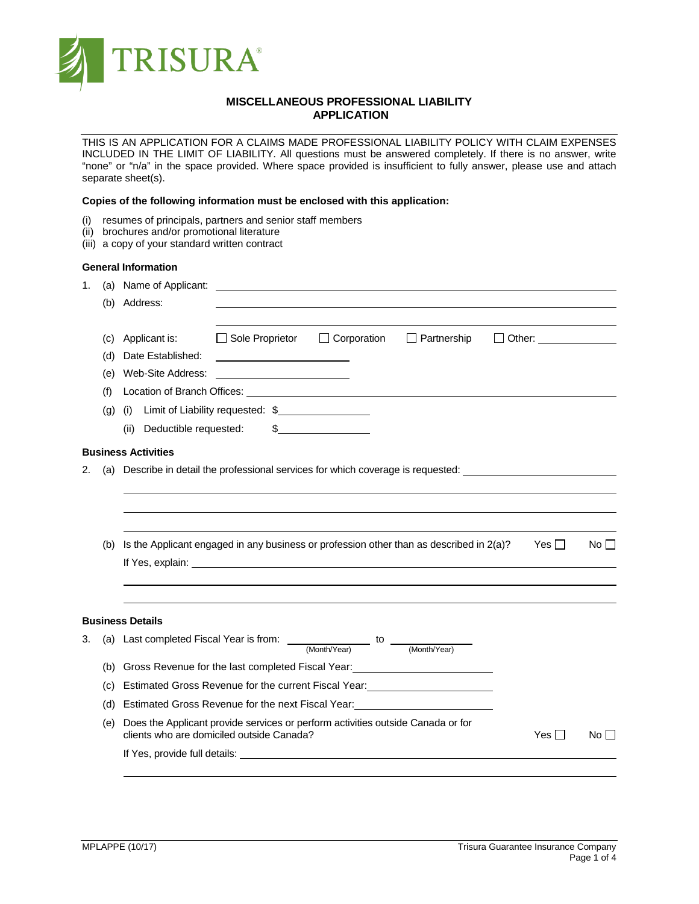

# **MISCELLANEOUS PROFESSIONAL LIABILITY APPLICATION**

THIS IS AN APPLICATION FOR A CLAIMS MADE PROFESSIONAL LIABILITY POLICY WITH CLAIM EXPENSES INCLUDED IN THE LIMIT OF LIABILITY. All questions must be answered completely. If there is no answer, write "none" or "n/a" in the space provided. Where space provided is insufficient to fully answer, please use and attach separate sheet(s).

# **Copies of the following information must be enclosed with this application:**

- (i) resumes of principals, partners and senior staff members
- (ii) brochures and/or promotional literature
- (iii) a copy of your standard written contract

### **General Information**

| 1. | (a)<br>(b)                      | Name of Applicant:<br><u> 1980 - Jan Samuel Barbara, martin da shekara 1980 - An tsara 1980 - An tsara 1980 - An tsara 1980 - An tsara</u><br>Address:                                                                                                                                                                                                                                                                                                                                                                                                                                                                                                           |
|----|---------------------------------|------------------------------------------------------------------------------------------------------------------------------------------------------------------------------------------------------------------------------------------------------------------------------------------------------------------------------------------------------------------------------------------------------------------------------------------------------------------------------------------------------------------------------------------------------------------------------------------------------------------------------------------------------------------|
|    | (C)<br>(d)<br>(e)<br>(f)<br>(g) | $\Box$ Sole Proprietor<br>$\Box$ Corporation<br>$\Box$ Partnership<br>Applicant is:<br>$\Box$ Other: $\Box$<br>Date Established:<br><u> 1989 - Johann Barbara, martin amerikan ba</u><br>Web-Site Address:<br><u> 1980 - Jan Samuel Barbara, politik eta politik eta politik eta politik eta politik eta politik eta politik e</u><br>Location of Branch Offices: University of Art and Art and Art and Art and Art and Art and Art and Art and Art and Art and Art and Art and Art and Art and Art and Art and Art and Art and Art and Art and Art and Art and Art<br>Limit of Liability requested: \$<br>(i)<br>Deductible requested:<br>$\frac{1}{2}$<br>(ii) |
|    |                                 | <b>Business Activities</b>                                                                                                                                                                                                                                                                                                                                                                                                                                                                                                                                                                                                                                       |
| 2. | (b)                             | (a) Describe in detail the professional services for which coverage is requested: __________________<br>Is the Applicant engaged in any business or profession other than as described in 2(a)?<br>Yes II<br>No II                                                                                                                                                                                                                                                                                                                                                                                                                                               |
|    |                                 | <b>Business Details</b>                                                                                                                                                                                                                                                                                                                                                                                                                                                                                                                                                                                                                                          |
| 3. |                                 | (a) Last completed Fiscal Year is from: $\frac{1}{(Month\text{Year})}$ to $\frac{1}{(Month\text{Year})}$                                                                                                                                                                                                                                                                                                                                                                                                                                                                                                                                                         |
|    | (b)                             | Gross Revenue for the last completed Fiscal Year: ______________________________                                                                                                                                                                                                                                                                                                                                                                                                                                                                                                                                                                                 |
|    | (C)                             | Estimated Gross Revenue for the current Fiscal Year: ___________________________                                                                                                                                                                                                                                                                                                                                                                                                                                                                                                                                                                                 |
|    | (d)                             | Estimated Gross Revenue for the next Fiscal Year:<br><u>Estimated Gross Revenue for the next Fiscal Year:</u>                                                                                                                                                                                                                                                                                                                                                                                                                                                                                                                                                    |
|    | (e)                             | Does the Applicant provide services or perform activities outside Canada or for<br>clients who are domiciled outside Canada?<br>Yes $\square$<br>No l                                                                                                                                                                                                                                                                                                                                                                                                                                                                                                            |
|    |                                 |                                                                                                                                                                                                                                                                                                                                                                                                                                                                                                                                                                                                                                                                  |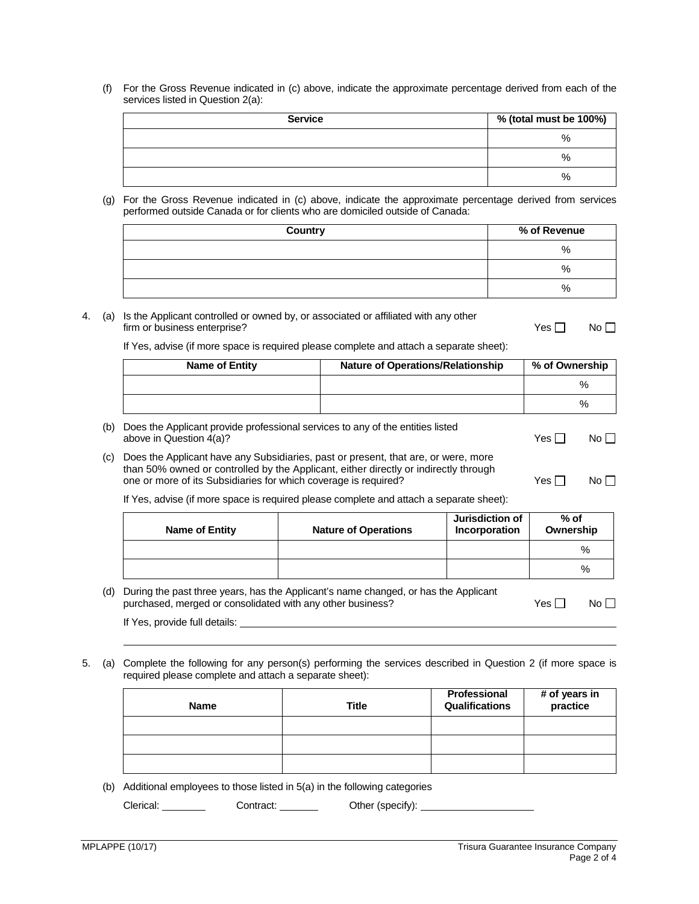(f) For the Gross Revenue indicated in (c) above, indicate the approximate percentage derived from each of the services listed in Question 2(a):

| <b>Service</b> | % (total must be 100%) |
|----------------|------------------------|
|                | $\%$                   |
|                | $\%$                   |
|                | $\%$                   |

(g) For the Gross Revenue indicated in (c) above, indicate the approximate percentage derived from services performed outside Canada or for clients who are domiciled outside of Canada:

| <b>Country</b> | % of Revenue |
|----------------|--------------|
|                | $\%$         |
|                | $\%$         |
|                | $\%$         |

4. (a) Is the Applicant controlled or owned by, or associated or affiliated with any other firm or business enterprise?  $\Box$  No  $\Box$ 

If Yes, advise (if more space is required please complete and attach a separate sheet):

| <b>Name of Entity</b> | <b>Nature of Operations/Relationship</b> | % of Ownership |
|-----------------------|------------------------------------------|----------------|
|                       |                                          | %              |
|                       |                                          | %              |

- (b) Does the Applicant provide professional services to any of the entities listed above in Question 4(a)?  $\Box$  No  $\Box$
- (c) Does the Applicant have any Subsidiaries, past or present, that are, or were, more than 50% owned or controlled by the Applicant, either directly or indirectly through one or more of its Subsidiaries for which coverage is required?  $Yes \Box$  No  $\Box$

If Yes, advise (if more space is required please complete and attach a separate sheet):

| Name of Entity | <b>Nature of Operations</b> | <b>Jurisdiction of</b><br>Incorporation | $%$ of<br>Ownership |
|----------------|-----------------------------|-----------------------------------------|---------------------|
|                |                             |                                         | %                   |
|                |                             |                                         | $\%$                |

| (d) During the past three years, has the Applicant's name changed, or has the Applicant |       |                 |
|-----------------------------------------------------------------------------------------|-------|-----------------|
| purchased, merged or consolidated with any other business?                              | Yes I | No <sub>1</sub> |
|                                                                                         |       |                 |

If Yes, provide full details:

5. (a) Complete the following for any person(s) performing the services described in Question 2 (if more space is required please complete and attach a separate sheet):

| <b>Name</b> | <b>Title</b> | Professional<br>Qualifications | # of years in<br>practice |
|-------------|--------------|--------------------------------|---------------------------|
|             |              |                                |                           |
|             |              |                                |                           |
|             |              |                                |                           |

(b) Additional employees to those listed in 5(a) in the following categories

Clerical: Contract: Contract: Other (specify):

 $\overline{a}$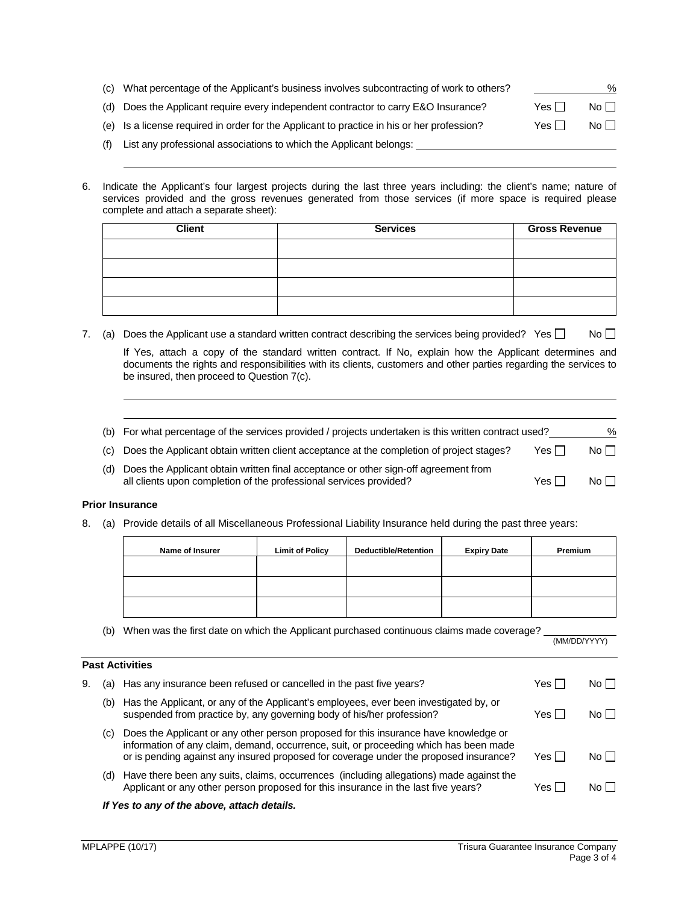| (C) - | What percentage of the Applicant's business involves subcontracting of work to others?     |            | %         |
|-------|--------------------------------------------------------------------------------------------|------------|-----------|
|       | (d) Does the Applicant require every independent contractor to carry E&O Insurance?        | Yes $\Box$ | $No \Box$ |
|       | (e) Is a license required in order for the Applicant to practice in his or her profession? | Yes $\Box$ | No $\Box$ |
|       | List any professional associations to which the Applicant belongs:                         |            |           |

6. Indicate the Applicant's four largest projects during the last three years including: the client's name; nature of services provided and the gross revenues generated from those services (if more space is required please complete and attach a separate sheet):

| <b>Client</b> | <b>Services</b> | <b>Gross Revenue</b> |
|---------------|-----------------|----------------------|
|               |                 |                      |
|               |                 |                      |
|               |                 |                      |
|               |                 |                      |

7. (a) Does the Applicant use a standard written contract describing the services being provided? Yes  $\Box$  No  $\Box$ 

If Yes, attach a copy of the standard written contract. If No, explain how the Applicant determines and documents the rights and responsibilities with its clients, customers and other parties regarding the services to be insured, then proceed to Question 7(c).

- (b) For what percentage of the services provided / projects undertaken is this written contract used?
- (c) Does the Applicant obtain written client acceptance at the completion of project stages? Yes  $\Box$  No  $\Box$
- (d) Does the Applicant obtain written final acceptance or other sign-off agreement from all clients upon completion of the professional services provided?  $Yes \Box$  No  $\Box$

## **Prior Insurance**

**Past Activities**

8. (a) Provide details of all Miscellaneous Professional Liability Insurance held during the past three years:

| Name of Insurer | <b>Limit of Policy</b> | <b>Deductible/Retention</b> | <b>Expiry Date</b> | Premium |
|-----------------|------------------------|-----------------------------|--------------------|---------|
|                 |                        |                             |                    |         |
|                 |                        |                             |                    |         |
|                 |                        |                             |                    |         |

(b) When was the first date on which the Applicant purchased continuous claims made coverage?  $\frac{MMDD/YYY}{MMDD/YYY}$ 

| 9. |     | (a) Has any insurance been refused or cancelled in the past five years?                                                                                                                                                                                                | Yes I   | No II     |
|----|-----|------------------------------------------------------------------------------------------------------------------------------------------------------------------------------------------------------------------------------------------------------------------------|---------|-----------|
|    | (b) | Has the Applicant, or any of the Applicant's employees, ever been investigated by, or<br>suspended from practice by, any governing body of his/her profession?                                                                                                         | Yes I   | No II     |
|    | (C) | Does the Applicant or any other person proposed for this insurance have knowledge or<br>information of any claim, demand, occurrence, suit, or proceeding which has been made<br>or is pending against any insured proposed for coverage under the proposed insurance? | Yes II  | No $\Box$ |
|    | (d) | Have there been any suits, claims, occurrences (including allegations) made against the<br>Applicant or any other person proposed for this insurance in the last five years?                                                                                           | Yes I l | No II     |
|    |     |                                                                                                                                                                                                                                                                        |         |           |

### *If Yes to any of the above, attach details.*